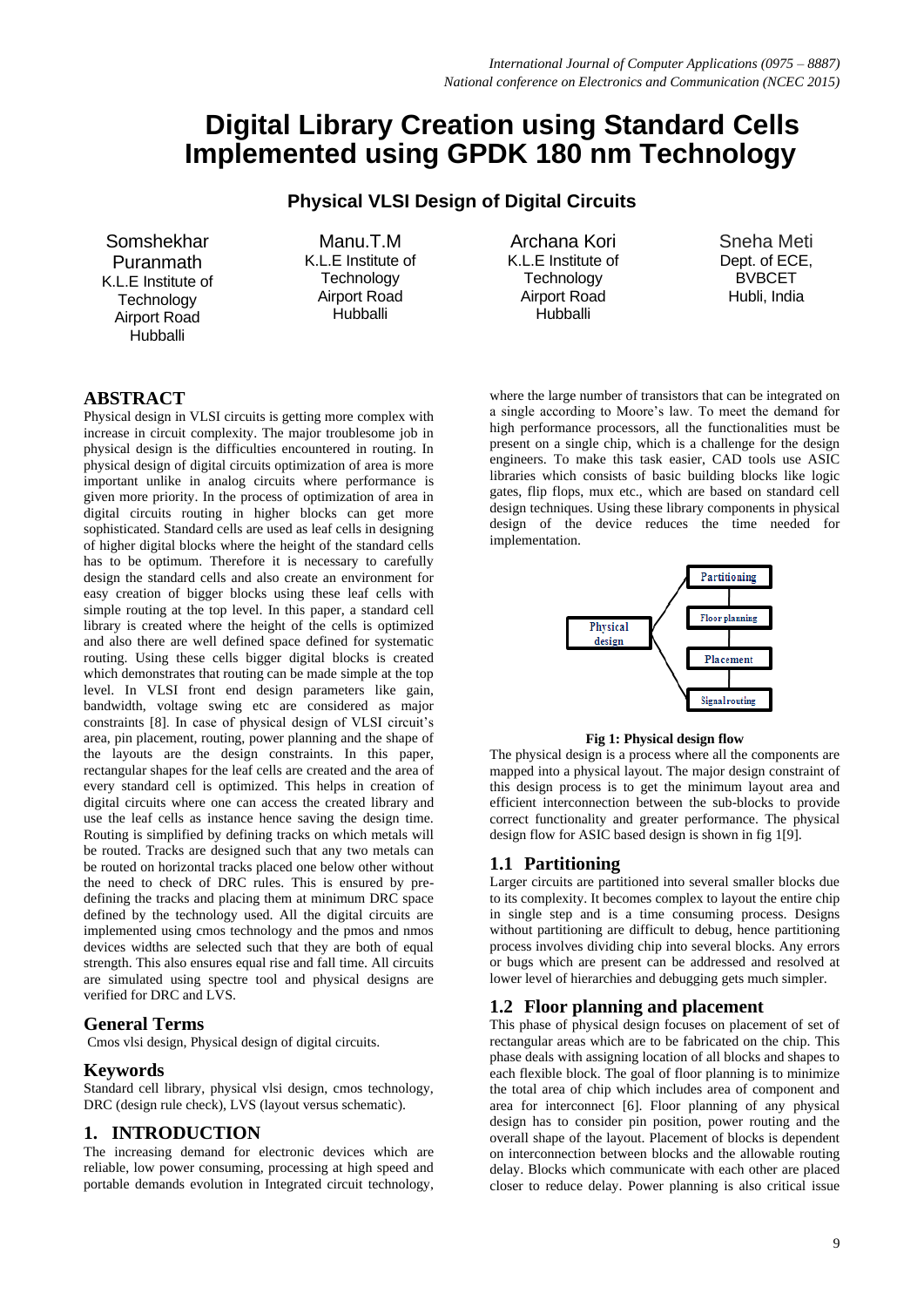# **Digital Library Creation using Standard Cells Implemented using GPDK 180 nm Technology**

# **Physical VLSI Design of Digital Circuits**

Somshekhar Puranmath K.L.E Institute of **Technology** Airport Road Hubballi

Manu.T.M K.L.E Institute of **Technology** Airport Road **Hubballi** 

Archana Kori K.L.E Institute of **Technology** Airport Road **Hubballi** 

Sneha Meti Dept. of ECE, **BVBCET** Hubli, India

# **ABSTRACT**

Physical design in VLSI circuits is getting more complex with increase in circuit complexity. The major troublesome job in physical design is the difficulties encountered in routing. In physical design of digital circuits optimization of area is more important unlike in analog circuits where performance is given more priority. In the process of optimization of area in digital circuits routing in higher blocks can get more sophisticated. Standard cells are used as leaf cells in designing of higher digital blocks where the height of the standard cells has to be optimum. Therefore it is necessary to carefully design the standard cells and also create an environment for easy creation of bigger blocks using these leaf cells with simple routing at the top level. In this paper, a standard cell library is created where the height of the cells is optimized and also there are well defined space defined for systematic routing. Using these cells bigger digital blocks is created which demonstrates that routing can be made simple at the top level. In VLSI front end design parameters like gain, bandwidth, voltage swing etc are considered as major constraints [8]. In case of physical design of VLSI circuit's area, pin placement, routing, power planning and the shape of the layouts are the design constraints. In this paper, rectangular shapes for the leaf cells are created and the area of every standard cell is optimized. This helps in creation of digital circuits where one can access the created library and use the leaf cells as instance hence saving the design time. Routing is simplified by defining tracks on which metals will be routed. Tracks are designed such that any two metals can be routed on horizontal tracks placed one below other without the need to check of DRC rules. This is ensured by predefining the tracks and placing them at minimum DRC space defined by the technology used. All the digital circuits are implemented using cmos technology and the pmos and nmos devices widths are selected such that they are both of equal strength. This also ensures equal rise and fall time. All circuits are simulated using spectre tool and physical designs are verified for DRC and LVS.

## **General Terms**

Cmos vlsi design, Physical design of digital circuits.

#### **Keywords**

Standard cell library, physical vlsi design, cmos technology, DRC (design rule check), LVS (layout versus schematic).

## **1. INTRODUCTION**

The increasing demand for electronic devices which are reliable, low power consuming, processing at high speed and portable demands evolution in Integrated circuit technology,

where the large number of transistors that can be integrated on a single according to Moore's law. To meet the demand for high performance processors, all the functionalities must be present on a single chip, which is a challenge for the design engineers. To make this task easier, CAD tools use ASIC libraries which consists of basic building blocks like logic gates, flip flops, mux etc., which are based on standard cell design techniques. Using these library components in physical design of the device reduces the time needed for implementation.



#### **Fig 1: Physical design flow**

The physical design is a process where all the components are mapped into a physical layout. The major design constraint of this design process is to get the minimum layout area and efficient interconnection between the sub-blocks to provide correct functionality and greater performance. The physical design flow for ASIC based design is shown in fig 1[9].

## **1.1 Partitioning**

Larger circuits are partitioned into several smaller blocks due to its complexity. It becomes complex to layout the entire chip in single step and is a time consuming process. Designs without partitioning are difficult to debug, hence partitioning process involves dividing chip into several blocks. Any errors or bugs which are present can be addressed and resolved at lower level of hierarchies and debugging gets much simpler.

## **1.2 Floor planning and placement**

This phase of physical design focuses on placement of set of rectangular areas which are to be fabricated on the chip. This phase deals with assigning location of all blocks and shapes to each flexible block. The goal of floor planning is to minimize the total area of chip which includes area of component and area for interconnect [6]. Floor planning of any physical design has to consider pin position, power routing and the overall shape of the layout. Placement of blocks is dependent on interconnection between blocks and the allowable routing delay. Blocks which communicate with each other are placed closer to reduce delay. Power planning is also critical issue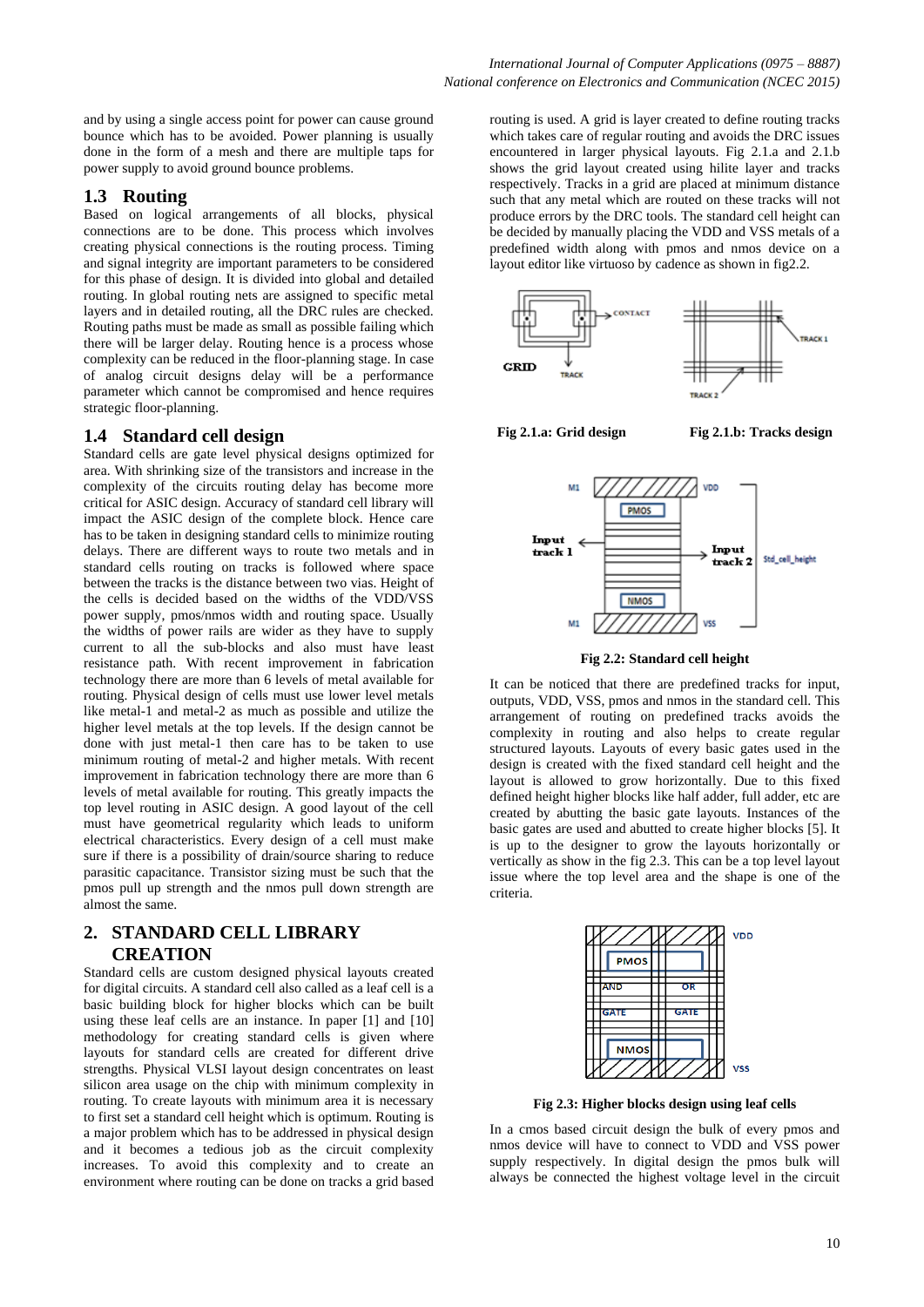and by using a single access point for power can cause ground bounce which has to be avoided. Power planning is usually done in the form of a mesh and there are multiple taps for power supply to avoid ground bounce problems.

#### **1.3 Routing**

Based on logical arrangements of all blocks, physical connections are to be done. This process which involves creating physical connections is the routing process. Timing and signal integrity are important parameters to be considered for this phase of design. It is divided into global and detailed routing. In global routing nets are assigned to specific metal layers and in detailed routing, all the DRC rules are checked. Routing paths must be made as small as possible failing which there will be larger delay. Routing hence is a process whose complexity can be reduced in the floor-planning stage. In case of analog circuit designs delay will be a performance parameter which cannot be compromised and hence requires strategic floor-planning.

#### **1.4 Standard cell design**

Standard cells are gate level physical designs optimized for area. With shrinking size of the transistors and increase in the complexity of the circuits routing delay has become more critical for ASIC design. Accuracy of standard cell library will impact the ASIC design of the complete block. Hence care has to be taken in designing standard cells to minimize routing delays. There are different ways to route two metals and in standard cells routing on tracks is followed where space between the tracks is the distance between two vias. Height of the cells is decided based on the widths of the VDD/VSS power supply, pmos/nmos width and routing space. Usually the widths of power rails are wider as they have to supply current to all the sub-blocks and also must have least resistance path. With recent improvement in fabrication technology there are more than 6 levels of metal available for routing. Physical design of cells must use lower level metals like metal-1 and metal-2 as much as possible and utilize the higher level metals at the top levels. If the design cannot be done with just metal-1 then care has to be taken to use minimum routing of metal-2 and higher metals. With recent improvement in fabrication technology there are more than 6 levels of metal available for routing. This greatly impacts the top level routing in ASIC design. A good layout of the cell must have geometrical regularity which leads to uniform electrical characteristics. Every design of a cell must make sure if there is a possibility of drain/source sharing to reduce parasitic capacitance. Transistor sizing must be such that the pmos pull up strength and the nmos pull down strength are almost the same.

## **2. STANDARD CELL LIBRARY CREATION**

Standard cells are custom designed physical layouts created for digital circuits. A standard cell also called as a leaf cell is a basic building block for higher blocks which can be built using these leaf cells are an instance. In paper [1] and [10] methodology for creating standard cells is given where layouts for standard cells are created for different drive strengths. Physical VLSI layout design concentrates on least silicon area usage on the chip with minimum complexity in routing. To create layouts with minimum area it is necessary to first set a standard cell height which is optimum. Routing is a major problem which has to be addressed in physical design and it becomes a tedious job as the circuit complexity increases. To avoid this complexity and to create an environment where routing can be done on tracks a grid based

routing is used. A grid is layer created to define routing tracks which takes care of regular routing and avoids the DRC issues encountered in larger physical layouts. Fig 2.1.a and 2.1.b shows the grid layout created using hilite layer and tracks respectively. Tracks in a grid are placed at minimum distance such that any metal which are routed on these tracks will not produce errors by the DRC tools. The standard cell height can be decided by manually placing the VDD and VSS metals of a predefined width along with pmos and nmos device on a layout editor like virtuoso by cadence as shown in fig2.2.



**Fig 2.1.a: Grid design Fig 2.1.b: Tracks design**



**Fig 2.2: Standard cell height**

It can be noticed that there are predefined tracks for input, outputs, VDD, VSS, pmos and nmos in the standard cell. This arrangement of routing on predefined tracks avoids the complexity in routing and also helps to create regular structured layouts. Layouts of every basic gates used in the design is created with the fixed standard cell height and the layout is allowed to grow horizontally. Due to this fixed defined height higher blocks like half adder, full adder, etc are created by abutting the basic gate layouts. Instances of the basic gates are used and abutted to create higher blocks [5]. It is up to the designer to grow the layouts horizontally or vertically as show in the fig 2.3. This can be a top level layout issue where the top level area and the shape is one of the criteria.



**Fig 2.3: Higher blocks design using leaf cells**

In a cmos based circuit design the bulk of every pmos and nmos device will have to connect to VDD and VSS power supply respectively. In digital design the pmos bulk will always be connected the highest voltage level in the circuit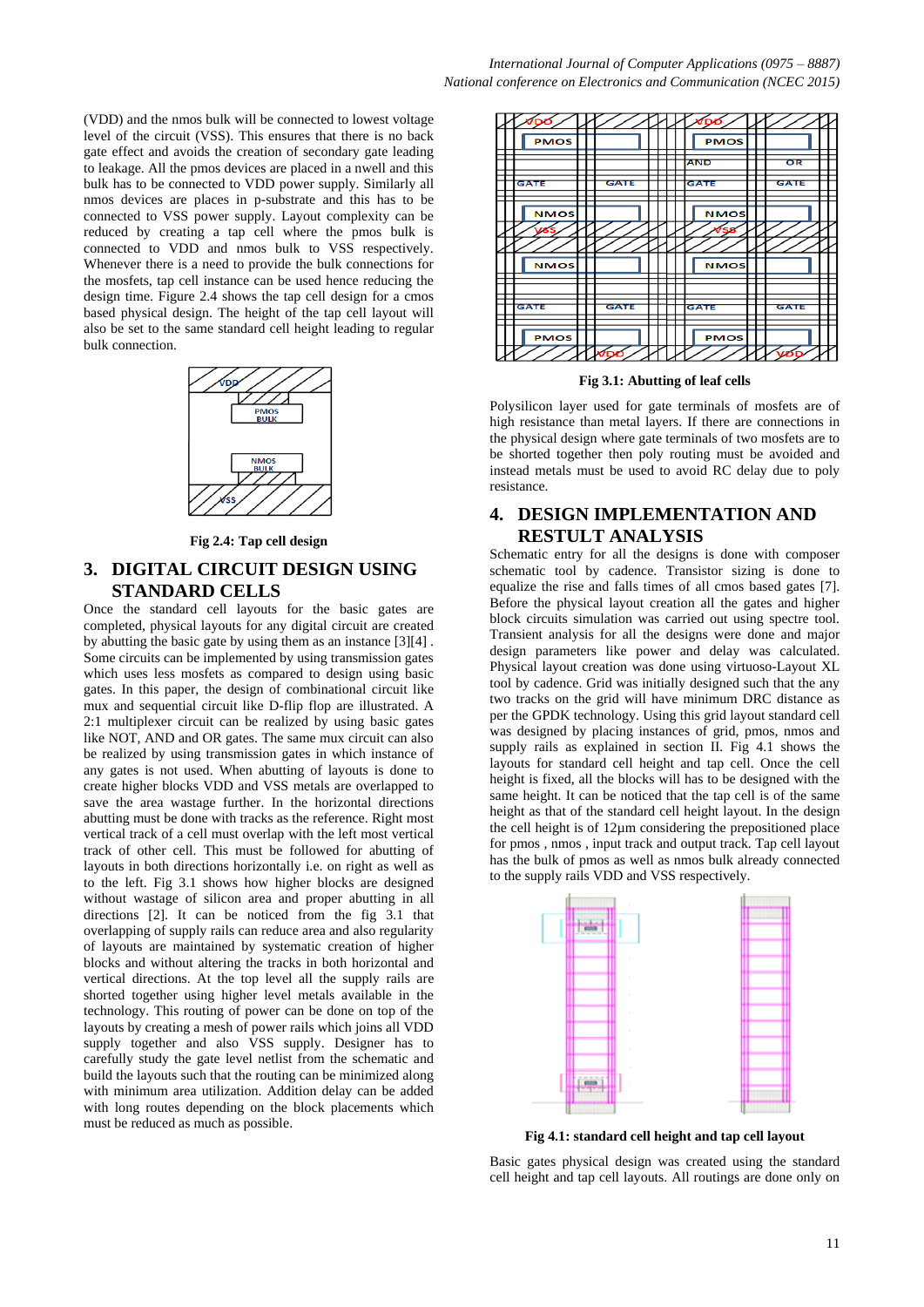(VDD) and the nmos bulk will be connected to lowest voltage level of the circuit (VSS). This ensures that there is no back gate effect and avoids the creation of secondary gate leading to leakage. All the pmos devices are placed in a nwell and this bulk has to be connected to VDD power supply. Similarly all nmos devices are places in p-substrate and this has to be connected to VSS power supply. Layout complexity can be reduced by creating a tap cell where the pmos bulk is connected to VDD and nmos bulk to VSS respectively. Whenever there is a need to provide the bulk connections for the mosfets, tap cell instance can be used hence reducing the design time. Figure 2.4 shows the tap cell design for a cmos based physical design. The height of the tap cell layout will also be set to the same standard cell height leading to regular bulk connection.



**Fig 2.4: Tap cell design**

# **3. DIGITAL CIRCUIT DESIGN USING STANDARD CELLS**

Once the standard cell layouts for the basic gates are completed, physical layouts for any digital circuit are created by abutting the basic gate by using them as an instance [3][4] . Some circuits can be implemented by using transmission gates which uses less mosfets as compared to design using basic gates. In this paper, the design of combinational circuit like mux and sequential circuit like D-flip flop are illustrated. A 2:1 multiplexer circuit can be realized by using basic gates like NOT, AND and OR gates. The same mux circuit can also be realized by using transmission gates in which instance of any gates is not used. When abutting of layouts is done to create higher blocks VDD and VSS metals are overlapped to save the area wastage further. In the horizontal directions abutting must be done with tracks as the reference. Right most vertical track of a cell must overlap with the left most vertical track of other cell. This must be followed for abutting of layouts in both directions horizontally i.e. on right as well as to the left. Fig 3.1 shows how higher blocks are designed without wastage of silicon area and proper abutting in all directions [2]. It can be noticed from the fig 3.1 that overlapping of supply rails can reduce area and also regularity of layouts are maintained by systematic creation of higher blocks and without altering the tracks in both horizontal and vertical directions. At the top level all the supply rails are shorted together using higher level metals available in the technology. This routing of power can be done on top of the layouts by creating a mesh of power rails which joins all VDD supply together and also VSS supply. Designer has to carefully study the gate level netlist from the schematic and build the layouts such that the routing can be minimized along with minimum area utilization. Addition delay can be added with long routes depending on the block placements which must be reduced as much as possible.



**Fig 3.1: Abutting of leaf cells**

Polysilicon layer used for gate terminals of mosfets are of high resistance than metal layers. If there are connections in the physical design where gate terminals of two mosfets are to be shorted together then poly routing must be avoided and instead metals must be used to avoid RC delay due to poly resistance.

## **4. DESIGN IMPLEMENTATION AND RESTULT ANALYSIS**

Schematic entry for all the designs is done with composer schematic tool by cadence. Transistor sizing is done to equalize the rise and falls times of all cmos based gates [7]. Before the physical layout creation all the gates and higher block circuits simulation was carried out using spectre tool. Transient analysis for all the designs were done and major design parameters like power and delay was calculated. Physical layout creation was done using virtuoso-Layout XL tool by cadence. Grid was initially designed such that the any two tracks on the grid will have minimum DRC distance as per the GPDK technology. Using this grid layout standard cell was designed by placing instances of grid, pmos, nmos and supply rails as explained in section II. Fig 4.1 shows the layouts for standard cell height and tap cell. Once the cell height is fixed, all the blocks will has to be designed with the same height. It can be noticed that the tap cell is of the same height as that of the standard cell height layout. In the design the cell height is of 12µm considering the prepositioned place for pmos , nmos , input track and output track. Tap cell layout has the bulk of pmos as well as nmos bulk already connected to the supply rails VDD and VSS respectively.



**Fig 4.1: standard cell height and tap cell layout**

Basic gates physical design was created using the standard cell height and tap cell layouts. All routings are done only on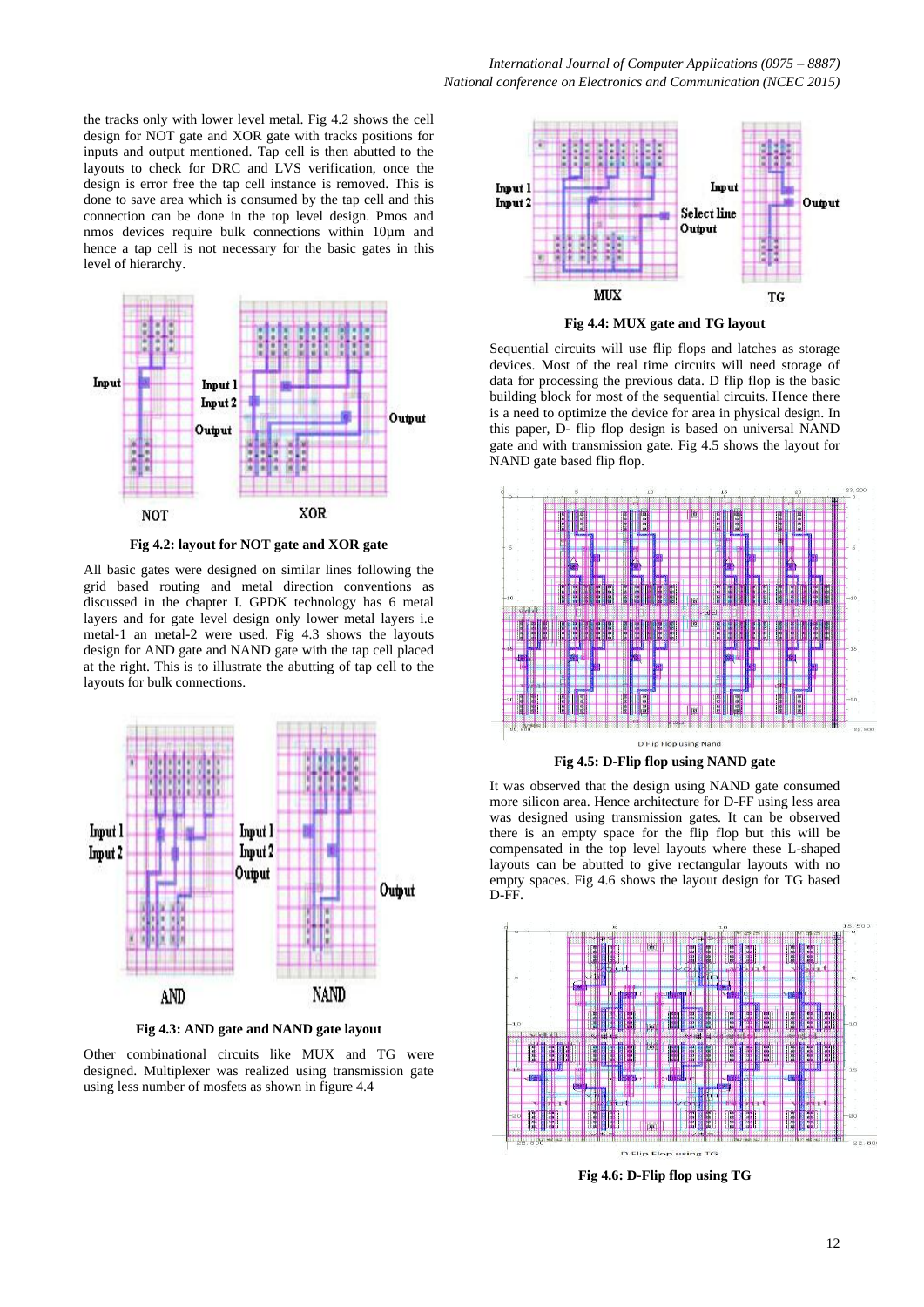the tracks only with lower level metal. Fig 4.2 shows the cell design for NOT gate and XOR gate with tracks positions for inputs and output mentioned. Tap cell is then abutted to the layouts to check for DRC and LVS verification, once the design is error free the tap cell instance is removed. This is done to save area which is consumed by the tap cell and this connection can be done in the top level design. Pmos and nmos devices require bulk connections within 10µm and hence a tap cell is not necessary for the basic gates in this level of hierarchy.



**Fig 4.2: layout for NOT gate and XOR gate**

All basic gates were designed on similar lines following the grid based routing and metal direction conventions as discussed in the chapter I. GPDK technology has 6 metal layers and for gate level design only lower metal layers i.e metal-1 an metal-2 were used. Fig 4.3 shows the layouts design for AND gate and NAND gate with the tap cell placed at the right. This is to illustrate the abutting of tap cell to the layouts for bulk connections.



**Fig 4.3: AND gate and NAND gate layout**

Other combinational circuits like MUX and TG were designed. Multiplexer was realized using transmission gate using less number of mosfets as shown in figure 4.4



**Fig 4.4: MUX gate and TG layout**

Sequential circuits will use flip flops and latches as storage devices. Most of the real time circuits will need storage of data for processing the previous data. D flip flop is the basic building block for most of the sequential circuits. Hence there is a need to optimize the device for area in physical design. In this paper, D- flip flop design is based on universal NAND gate and with transmission gate. Fig 4.5 shows the layout for NAND gate based flip flop.



**Fig 4.5: D-Flip flop using NAND gate**

It was observed that the design using NAND gate consumed more silicon area. Hence architecture for D-FF using less area was designed using transmission gates. It can be observed there is an empty space for the flip flop but this will be compensated in the top level layouts where these L-shaped layouts can be abutted to give rectangular layouts with no empty spaces. Fig 4.6 shows the layout design for TG based D-FF.



**Fig 4.6: D-Flip flop using TG**